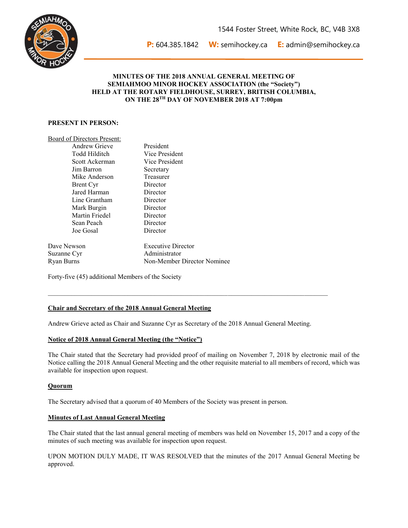

**P:** 604.385.1842 **W:** [semihockey.ca](mailto:semihockey.ca) **E:** [admin@semihockey.ca](mailto:admin@semihockey.ca) 

## **MINUTES OF THE 2018 ANNUAL GENERAL MEETING OF SEMIAHMOO MINOR HOCKEY ASSOCIATION (the "Society") HELD AT THE ROTARY FIELDHOUSE, SURREY, BRITISH COLUMBIA, ON THE 28TH DAY OF NOVEMBER 2018 AT 7:00pm**

## **PRESENT IN PERSON:**

|                        | Board of Directors Present: |  |  |  |
|------------------------|-----------------------------|--|--|--|
| $\Lambda$ ndrow Criovo |                             |  |  |  |

| ATTULEW VILLEVE | гтсэндсн                    |
|-----------------|-----------------------------|
| Todd Hilditch   | Vice President              |
| Scott Ackerman  | Vice President              |
| Jim Barron      | Secretary                   |
| Mike Anderson   | Treasurer                   |
| Brent Cyr       | Director                    |
| Jared Harman    | Director                    |
| Line Grantham   | Director                    |
| Mark Burgin     | Director                    |
| Martin Friedel  | Director                    |
| Sean Peach      | Director                    |
| Joe Gosal       | Director                    |
| Dave Newson     | <b>Executive Director</b>   |
| Suzanne Cyr     | Administrator               |
| Ryan Burns      | Non-Member Director Nominee |

Drogidant

Forty-five (45) additional Members of the Society

## **Chair and Secretary of the 2018 Annual General Meeting**

Andrew Grieve acted as Chair and Suzanne Cyr as Secretary of the 2018 Annual General Meeting.

 $\mathcal{L}_\mathcal{L} = \{ \mathcal{L}_\mathcal{L} = \{ \mathcal{L}_\mathcal{L} = \{ \mathcal{L}_\mathcal{L} = \{ \mathcal{L}_\mathcal{L} = \{ \mathcal{L}_\mathcal{L} = \{ \mathcal{L}_\mathcal{L} = \{ \mathcal{L}_\mathcal{L} = \{ \mathcal{L}_\mathcal{L} = \{ \mathcal{L}_\mathcal{L} = \{ \mathcal{L}_\mathcal{L} = \{ \mathcal{L}_\mathcal{L} = \{ \mathcal{L}_\mathcal{L} = \{ \mathcal{L}_\mathcal{L} = \{ \mathcal{L}_\mathcal{$ 

## **Notice of 2018 Annual General Meeting (the "Notice")**

The Chair stated that the Secretary had provided proof of mailing on November 7, 2018 by electronic mail of the Notice calling the 2018 Annual General Meeting and the other requisite material to all members of record, which was available for inspection upon request.

#### **Quorum**

The Secretary advised that a quorum of 40 Members of the Society was present in person.

#### **Minutes of Last Annual General Meeting**

The Chair stated that the last annual general meeting of members was held on November 15, 2017 and a copy of the minutes of such meeting was available for inspection upon request.

UPON MOTION DULY MADE, IT WAS RESOLVED that the minutes of the 2017 Annual General Meeting be approved.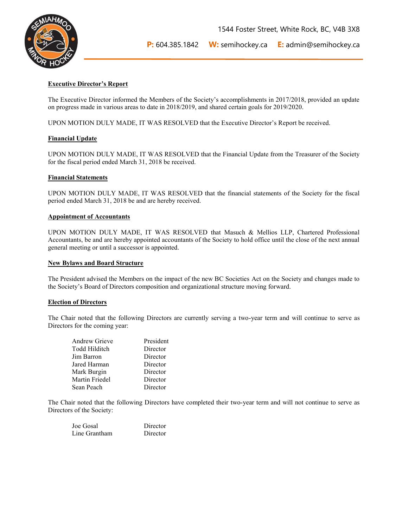

**P:** 604.385.1842 **W:** [semihockey.ca](mailto:semihockey.ca) **E:** [admin@semihockey.ca](mailto:admin@semihockey.ca) 

## **Executive Director's Report**

The Executive Director informed the Members of the Society's accomplishments in 2017/2018, provided an update on progress made in various areas to date in 2018/2019, and shared certain goals for 2019/2020.

UPON MOTION DULY MADE, IT WAS RESOLVED that the Executive Director's Report be received.

## **Financial Update**

UPON MOTION DULY MADE, IT WAS RESOLVED that the Financial Update from the Treasurer of the Society for the fiscal period ended March 31, 2018 be received.

#### **Financial Statements**

UPON MOTION DULY MADE, IT WAS RESOLVED that the financial statements of the Society for the fiscal period ended March 31, 2018 be and are hereby received.

## **Appointment of Accountants**

UPON MOTION DULY MADE, IT WAS RESOLVED that Masuch & Mellios LLP, Chartered Professional Accountants, be and are hereby appointed accountants of the Society to hold office until the close of the next annual general meeting or until a successor is appointed.

#### **New Bylaws and Board Structure**

The President advised the Members on the impact of the new BC Societies Act on the Society and changes made to the Society's Board of Directors composition and organizational structure moving forward.

## **Election of Directors**

The Chair noted that the following Directors are currently serving a two-year term and will continue to serve as Directors for the coming year:

| <b>Andrew Grieve</b> | President |
|----------------------|-----------|
| <b>Todd Hilditch</b> | Director  |
| Jim Barron           | Director  |
| Jared Harman         | Director  |
| Mark Burgin          | Director  |
| Martin Friedel       | Director  |
| Sean Peach           | Director  |

The Chair noted that the following Directors have completed their two-year term and will not continue to serve as Directors of the Society:

| Joe Gosal     | Director |
|---------------|----------|
| Line Grantham | Director |